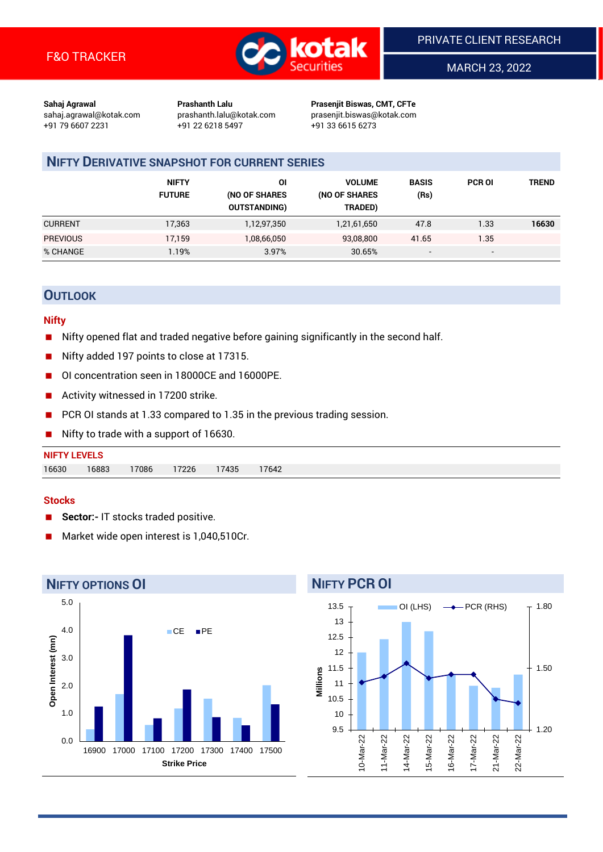

MARCH 23, 2022

**Sahaj Agrawal Prashanth Lalu Prasenjit Biswas, CMT, CFTe** +91 79 6607 2231 +91 22 6218 5497 +91 33 6615 6273

sahaj.agrawal@kotak.com [prashanth.lalu@kotak.com](mailto:prashanth.lalu@kotak.com) prasenjit.biswas@kotak.com

# **NIFTY DERIVATIVE SNAPSHOT FOR CURRENT SERIES**

|                 | <b>NIFTY</b><br><b>FUTURE</b> | ΟI<br>(NO OF SHARES<br><b>OUTSTANDING)</b> | <b>VOLUME</b><br>(NO OF SHARES<br>TRADED) | <b>BASIS</b><br>(Rs) | <b>PCR OI</b> | TREND |
|-----------------|-------------------------------|--------------------------------------------|-------------------------------------------|----------------------|---------------|-------|
| <b>CURRENT</b>  | 17,363                        | 1,12,97,350                                | 1,21,61,650                               | 47.8                 | 1.33          | 16630 |
| <b>PREVIOUS</b> | 17.159                        | 1,08,66,050                                | 93,08,800                                 | 41.65                | 1.35          |       |
| % CHANGE        | l.19%                         | 3.97%                                      | 30.65%                                    |                      | -             |       |

# **OUTLOOK**

#### **Nifty**

- Nifty opened flat and traded negative before gaining significantly in the second half.
- Nifty added 197 points to close at 17315.
- OI concentration seen in 18000CE and 16000PE.
- Activity witnessed in 17200 strike.
- PCR OI stands at 1.33 compared to 1.35 in the previous trading session.
- Nifty to trade with a support of 16630.

| <b>NIFTY LEVELS</b> |       |       |       |       |       |
|---------------------|-------|-------|-------|-------|-------|
| 16630               | 16883 | 17086 | 17226 | 17435 | 17642 |

#### **Stocks**

- **Sector:-** IT stocks traded positive.
- Market wide open interest is 1,040,510Cr.



## 13 13.5

**NIFTY PCR OI**



OI (LHS)  $\longrightarrow$  PCR (RHS)

1.80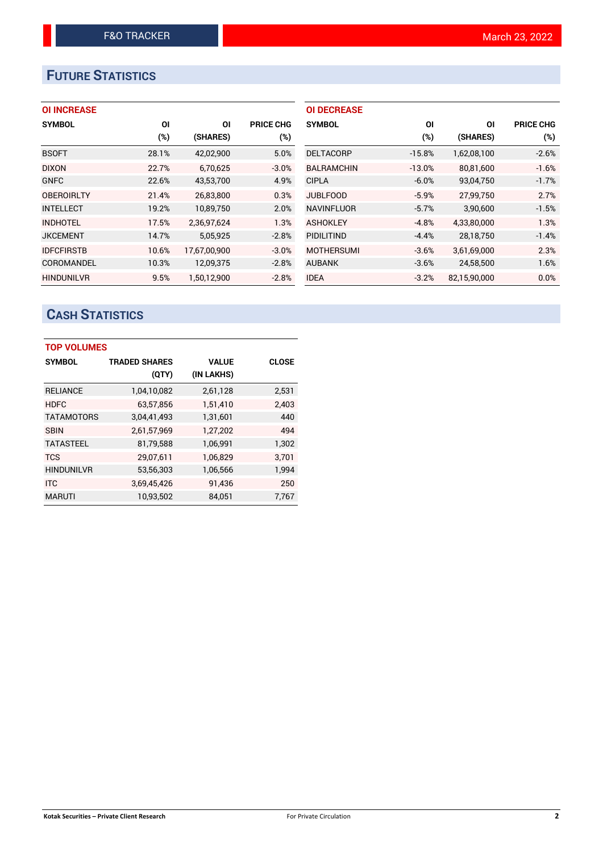# **FUTURE STATISTICS**

## **OI INCREASE**

| <b>SYMBOL</b>     | ΟI     | ΟI           | <b>PRICE CHG</b> |
|-------------------|--------|--------------|------------------|
|                   | $(\%)$ | (SHARES)     | $(\%)$           |
| <b>BSOFT</b>      | 28.1%  | 42,02,900    | 5.0%             |
| <b>DIXON</b>      | 22.7%  | 6.70.625     | $-3.0%$          |
| <b>GNFC</b>       | 22.6%  | 43,53,700    | 4.9%             |
| <b>OBEROIRLTY</b> | 21.4%  | 26,83,800    | 0.3%             |
| <b>INTELLECT</b>  | 19.2%  | 10,89,750    | 2.0%             |
| <b>INDHOTEL</b>   | 17.5%  | 2,36,97,624  | 1.3%             |
| <b>JKCEMENT</b>   | 14.7%  | 5,05,925     | $-2.8%$          |
| <b>IDFCFIRSTB</b> | 10.6%  | 17,67,00,900 | $-3.0%$          |
| COROMANDEL        | 10.3%  | 12,09,375    | $-2.8%$          |
| <b>HINDUNILVR</b> | 9.5%   | 1.50.12.900  | $-2.8%$          |

| <b>OI DECREASE</b> |          |              |                  |
|--------------------|----------|--------------|------------------|
| <b>SYMBOL</b>      | ΟI       | ΟI           | <b>PRICE CHG</b> |
|                    | (%)      | (SHARES)     | (%)              |
| <b>DELTACORP</b>   | $-15.8%$ | 1,62,08,100  | $-2.6%$          |
| <b>BALRAMCHIN</b>  | $-13.0%$ | 80,81,600    | $-1.6%$          |
| <b>CIPLA</b>       | $-6.0%$  | 93,04,750    | $-1.7%$          |
| <b>JUBLFOOD</b>    | $-5.9%$  | 27,99,750    | 2.7%             |
| <b>NAVINFLUOR</b>  | $-5.7%$  | 3,90,600     | $-1.5%$          |
| <b>ASHOKLEY</b>    | $-4.8%$  | 4,33,80,000  | 1.3%             |
| <b>PIDILITIND</b>  | $-4.4%$  | 28,18,750    | $-1.4%$          |
| <b>MOTHERSUMI</b>  | $-3.6%$  | 3,61,69,000  | 2.3%             |
| <b>AUBANK</b>      | $-3.6%$  | 24,58,500    | 1.6%             |
| <b>IDEA</b>        | $-3.2%$  | 82.15.90.000 | 0.0%             |

# **CASH STATISTICS**

| <b>TOP VOLUMES</b> |                      |              |              |  |  |  |  |
|--------------------|----------------------|--------------|--------------|--|--|--|--|
| <b>SYMBOL</b>      | <b>TRADED SHARES</b> | <b>VALUE</b> | <b>CLOSE</b> |  |  |  |  |
|                    | (QTY)                | (IN LAKHS)   |              |  |  |  |  |
| <b>RELIANCE</b>    | 1,04,10,082          | 2,61,128     | 2,531        |  |  |  |  |
| <b>HDFC</b>        | 63,57,856            | 1,51,410     | 2,403        |  |  |  |  |
| <b>TATAMOTORS</b>  | 3,04,41,493          | 1,31,601     | 440          |  |  |  |  |
| <b>SBIN</b>        | 2,61,57,969          | 1,27,202     | 494          |  |  |  |  |
| <b>TATASTEEL</b>   | 81,79,588            | 1,06,991     | 1,302        |  |  |  |  |
| <b>TCS</b>         | 29,07,611            | 1,06,829     | 3,701        |  |  |  |  |
| <b>HINDUNILVR</b>  | 53,56,303            | 1,06,566     | 1,994        |  |  |  |  |
| <b>ITC</b>         | 3,69,45,426          | 91,436       | 250          |  |  |  |  |
| <b>MARUTI</b>      | 10,93,502            | 84,051       | 7,767        |  |  |  |  |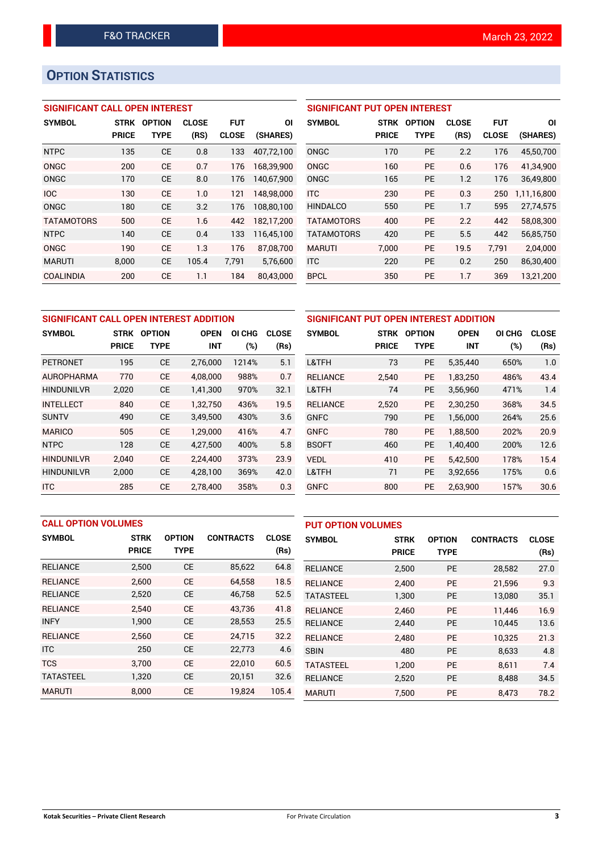# **OPTION STATISTICS**

## **SIGNIFICANT CALL OPEN INTEREST**

| <b>SYMBOL</b>     | <b>STRK</b>  | <b>OPTION</b> | <b>CLOSE</b> | <b>FUT</b>   | ΟI         |
|-------------------|--------------|---------------|--------------|--------------|------------|
|                   | <b>PRICE</b> | TYPE          | (RS)         | <b>CLOSE</b> | (SHARES)   |
| <b>NTPC</b>       | 135          | CE            | 0.8          | 133          | 407.72.100 |
| ONGC              | 200          | CE            | 0.7          | 176          | 168,39,900 |
| ONGC              | 170          | CE            | 8.0          | 176          | 140,67,900 |
| <b>IOC</b>        | 130          | CE            | 1.0          | 121          | 148,98,000 |
| ONGC              | 180          | CE            | 3.2          | 176          | 108,80,100 |
| <b>TATAMOTORS</b> | 500          | CE            | 1.6          | 442          | 182,17,200 |
| <b>NTPC</b>       | 140          | CE            | 0.4          | 133          | 116,45,100 |
| ONGC              | 190          | <b>CE</b>     | 1.3          | 176          | 87,08,700  |
| <b>MARUTI</b>     | 8,000        | CE            | 105.4        | 7,791        | 5,76,600   |
| COALINDIA         | 200          | CE            | 1.1          | 184          | 80.43.000  |

#### **SIGNIFICANT PUT OPEN INTEREST**

| <b>SYMBOL</b>     | <b>STRK</b><br><b>PRICE</b> | <b>OPTION</b><br><b>TYPE</b> | <b>CLOSE</b><br>(RS) | <b>FUT</b><br><b>CLOSE</b> | ΟI<br>(SHARES) |
|-------------------|-----------------------------|------------------------------|----------------------|----------------------------|----------------|
| ONGC              | 170                         | PF                           | 2.2                  | 176                        | 45,50,700      |
| ONGC              | 160                         | PF                           | 0.6                  | 176                        | 41,34,900      |
| ONGC              | 165                         | <b>PE</b>                    | 1.2                  | 176                        | 36,49,800      |
| <b>ITC</b>        | 230                         | PF                           | 0.3                  | 250                        | 1,11,16,800    |
| <b>HINDALCO</b>   | 550                         | <b>PE</b>                    | 1.7                  | 595                        | 27,74,575      |
| <b>TATAMOTORS</b> | 400                         | PF                           | 2.2                  | 442                        | 58,08,300      |
| <b>TATAMOTORS</b> | 420                         | PF                           | 5.5                  | 442                        | 56,85,750      |
| <b>MARUTI</b>     | 7,000                       | <b>PE</b>                    | 19.5                 | 7,791                      | 2,04,000       |
| <b>ITC</b>        | 220                         | <b>PE</b>                    | 0.2                  | 250                        | 86,30,400      |
| <b>BPCL</b>       | 350                         | <b>PE</b>                    | 1.7                  | 369                        | 13,21,200      |

|                   | SIGNIFICANT CALL OPEN INTEREST ADDITION |               |             |        |              |                 | <b>SIGNIFICANT PUT OPEN INTE</b> |              |
|-------------------|-----------------------------------------|---------------|-------------|--------|--------------|-----------------|----------------------------------|--------------|
| <b>SYMBOL</b>     | STRK                                    | <b>OPTION</b> | <b>OPEN</b> | OI CHG | <b>CLOSE</b> | <b>SYMBOL</b>   | <b>STRK</b>                      | <b>OPTIO</b> |
|                   | <b>PRICE</b>                            | <b>TYPE</b>   | <b>INT</b>  | (%)    | (Rs)         |                 | <b>PRICE</b>                     | <b>TYP</b>   |
| <b>PETRONET</b>   | 195                                     | <b>CE</b>     | 2,76,000    | 1214%  | 5.1          | L&TFH           | 73                               | P            |
| <b>AUROPHARMA</b> | 770                                     | <b>CE</b>     | 4.08.000    | 988%   | 0.7          | <b>RELIANCE</b> | 2.540                            | P            |
| <b>HINDUNILVR</b> | 2,020                                   | <b>CE</b>     | 1,41,300    | 970%   | 32.1         | L&TFH           | 74                               | P            |
| <b>INTELLECT</b>  | 840                                     | <b>CE</b>     | 1,32,750    | 436%   | 19.5         | <b>RELIANCE</b> | 2,520                            | P            |
| <b>SUNTV</b>      | 490                                     | <b>CE</b>     | 3,49,500    | 430%   | 3.6          | <b>GNFC</b>     | 790                              | P            |
| <b>MARICO</b>     | 505                                     | <b>CE</b>     | 1.29.000    | 416%   | 4.7          | <b>GNFC</b>     | 780                              | P            |
| <b>NTPC</b>       | 128                                     | <b>CE</b>     | 4,27,500    | 400%   | 5.8          | <b>BSOFT</b>    | 460                              | P            |
| <b>HINDUNILVR</b> | 2,040                                   | <b>CE</b>     | 2,24,400    | 373%   | 23.9         | <b>VEDL</b>     | 410                              | P            |
| <b>HINDUNILVR</b> | 2,000                                   | <b>CE</b>     | 4,28,100    | 369%   | 42.0         | L&TFH           | 71                               | P            |
| <b>ITC</b>        | 285                                     | <b>CE</b>     | 2,78,400    | 358%   | 0.3          | <b>GNFC</b>     | 800                              | P            |

| SIGNIFICANT PUT OPEN INTEREST ADDITION |              |               |             |        |              |  |  |  |
|----------------------------------------|--------------|---------------|-------------|--------|--------------|--|--|--|
| <b>SYMBOL</b>                          | <b>STRK</b>  | <b>OPTION</b> | <b>OPEN</b> | OI CHG | <b>CLOSE</b> |  |  |  |
|                                        | <b>PRICE</b> | TYPE          | <b>INT</b>  | (%)    | (Rs)         |  |  |  |
| L&TFH                                  | 73           | <b>PE</b>     | 5,35,440    | 650%   | 1.0          |  |  |  |
| <b>RELIANCE</b>                        | 2,540        | <b>PE</b>     | 1,83,250    | 486%   | 43.4         |  |  |  |
| L&TFH                                  | 74           | <b>PE</b>     | 3,56,960    | 471%   | 1.4          |  |  |  |
| <b>RELIANCE</b>                        | 2,520        | <b>PE</b>     | 2,30,250    | 368%   | 34.5         |  |  |  |
| GNFC                                   | 790          | <b>PE</b>     | 1,56,000    | 264%   | 25.6         |  |  |  |
| <b>GNFC</b>                            | 780          | <b>PE</b>     | 1,88,500    | 202%   | 20.9         |  |  |  |
| <b>BSOFT</b>                           | 460          | <b>PE</b>     | 1,40,400    | 200%   | 12.6         |  |  |  |
| VEDL                                   | 410          | <b>PE</b>     | 5,42,500    | 178%   | 15.4         |  |  |  |
| L&TFH                                  | 71           | <b>PE</b>     | 3,92,656    | 175%   | 0.6          |  |  |  |
| <b>GNFC</b>                            | 800          | <b>PE</b>     | 2,63,900    | 157%   | 30.6         |  |  |  |

|                  | <b>CALL OPTION VOLUMES</b> |               |                  |              | <b>PUT OPTION VOLUMES</b> |              |               |                  |              |
|------------------|----------------------------|---------------|------------------|--------------|---------------------------|--------------|---------------|------------------|--------------|
| <b>SYMBOL</b>    | <b>STRK</b>                | <b>OPTION</b> | <b>CONTRACTS</b> | <b>CLOSE</b> | <b>SYMBOL</b>             | <b>STRK</b>  | <b>OPTION</b> | <b>CONTRACTS</b> | <b>CLOSE</b> |
|                  | <b>PRICE</b>               | <b>TYPE</b>   |                  | (Rs)         |                           | <b>PRICE</b> | <b>TYPE</b>   |                  | (Rs)         |
| <b>RELIANCE</b>  | 2,500                      | <b>CE</b>     | 85,622           | 64.8         | <b>RELIANCE</b>           | 2,500        | <b>PE</b>     | 28,582           | 27.0         |
| <b>RELIANCE</b>  | 2.600                      | <b>CE</b>     | 64,558           | 18.5         | <b>RELIANCE</b>           | 2.400        | <b>PE</b>     | 21.596           | 9.3          |
| <b>RELIANCE</b>  | 2,520                      | <b>CE</b>     | 46,758           | 52.5         | <b>TATASTEEL</b>          | 1,300        | <b>PE</b>     | 13,080           | 35.1         |
| <b>RELIANCE</b>  | 2.540                      | <b>CE</b>     | 43.736           | 41.8         | <b>RELIANCE</b>           | 2,460        | <b>PE</b>     | 11.446           | 16.9         |
| <b>INFY</b>      | 1,900                      | <b>CE</b>     | 28,553           | 25.5         | <b>RELIANCE</b>           | 2,440        | <b>PE</b>     | 10.445           | 13.6         |
| <b>RELIANCE</b>  | 2,560                      | <b>CE</b>     | 24,715           | 32.2         | <b>RELIANCE</b>           | 2.480        | <b>PE</b>     | 10.325           | 21.3         |
| <b>ITC</b>       | 250                        | <b>CE</b>     | 22,773           | 4.6          | <b>SBIN</b>               | 480          | <b>PE</b>     | 8,633            | 4.8          |
| <b>TCS</b>       | 3.700                      | <b>CE</b>     | 22,010           | 60.5         | <b>TATASTEEL</b>          | 1,200        | <b>PE</b>     | 8,611            | 7.4          |
| <b>TATASTEEL</b> | 1,320                      | <b>CE</b>     | 20,151           | 32.6         | <b>RELIANCE</b>           | 2,520        | <b>PE</b>     | 8,488            | 34.5         |
| <b>MARUTI</b>    | 8.000                      | <b>CE</b>     | 19,824           | 105.4        | <b>MARUTI</b>             | 7.500        | PE            | 8,473            | 78.2         |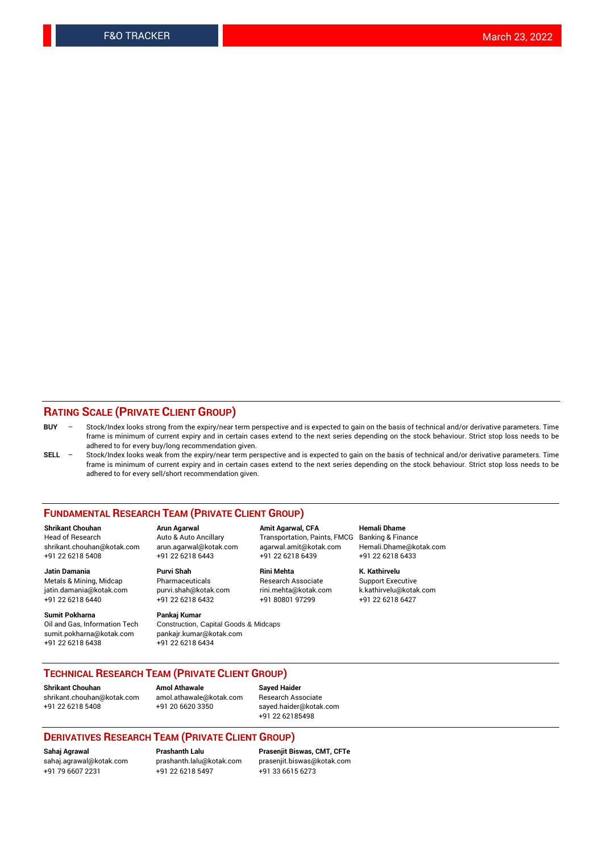#### **RATING SCALE (PRIVATE CLIENT GROUP)**

- **BUY**  Stock/Index looks strong from the expiry/near term perspective and is expected to gain on the basis of technical and/or derivative parameters. Time frame is minimum of current expiry and in certain cases extend to the next series depending on the stock behaviour. Strict stop loss needs to be adhered to for every buy/long recommendation given.
- **SELL** Stock/Index looks weak from the expiry/near term perspective and is expected to gain on the basis of technical and/or derivative parameters. Time frame is minimum of current expiry and in certain cases extend to the next series depending on the stock behaviour. Strict stop loss needs to be adhered to for every sell/short recommendation given.

#### **FUNDAMENTAL RESEARCH TEAM (PRIVATE CLIENT GROUP)**

**Shrikant Chouhan Arun Agarwal Amit Agarwal, CFA Hemali Dhame** shrikant.chouhan@kotak.com arun.agarwal@kotak.com agarwal.amit@kotak.com Hemali.Dhame@kotak.com +91 22 6218 5408 +91 22 6218 6443 +91 22 6218 6439 +91 22 6218 6433

Metals & Mining, Midcap Pharmaceuticals Pharmaceuticals Research Associate Support Executive<br>
iatin.damania@kotak.com purvi.shah@kotak.com rini.mehta@kotak.com k.kathirvelu@kotak.com jatin.damania@kotak.com

**Sumit Pokharna** Pankaj Kumar<br>Oil and Gas, Information Tech Construction, sumit.pokharna@kotak.com pankajr.kumar@kotak.com +91 22 6218 6438 +91 22 6218 6434

Construction, Capital Goods & Midcaps

Transportation, Paints, FMCG

**Jatin Damania Purvi Shah Rini Mehta K. Kathirvelu** +91 22 6218 6440 +91 22 6218 6432 +91 80801 97299 +91 22 6218 6427

### **TECHNICAL RESEARCH TEAM (PRIVATE CLIENT GROUP)**

**Shrikant Chouhan Amol Athawale Sayed Haider** [shrikant.chouhan@kotak.com](mailto:shrikant.chouhan@kotak.com) [amol.athawale@kotak.com](mailto:amol.athawale@kotak.com) Research Associate +91 22 6218 5408 +91 20 6620 3350 [sayed.haider@kotak.com](mailto:sayed.haider@kotak.com)

+91 22 62185498

#### **DERIVATIVES RESEARCH TEAM (PRIVATE CLIENT GROUP)**

+91 79 6607 2231 +91 22 6218 5497 +91 33 6615 6273

**Sahaj Agrawal Prashanth Lalu Prasenjit Biswas, CMT, CFTe** [prasenjit.biswas@kotak.com](mailto:prasenjit.biswas@kotak.com)